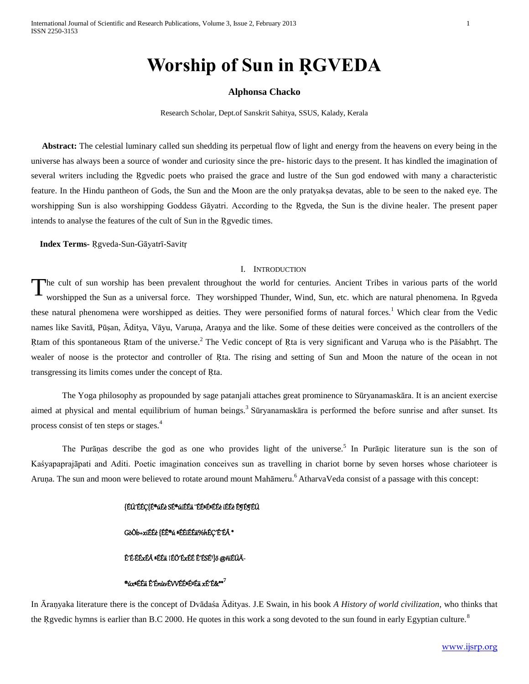# **Worship of Sun in ṚGVEDA**

# **Alphonsa Chacko**

Research Scholar, Dept.of Sanskrit Sahitya, SSUS, Kalady, Kerala

 **Abstract:** The celestial luminary called sun shedding its perpetual flow of light and energy from the heavens on every being in the universe has always been a source of wonder and curiosity since the pre- historic days to the present. It has kindled the imagination of several writers including the Revedic poets who praised the grace and lustre of the Sun god endowed with many a characteristic feature. In the Hindu pantheon of Gods, the Sun and the Moon are the only pratyakṣa devatas, able to be seen to the naked eye. The worshipping Sun is also worshipping Goddess Gāyatri. According to the Rgveda, the Sun is the divine healer. The present paper intends to analyse the features of the cult of Sun in the Rgvedic times.

 **Index Terms-** Ṛgveda-Sun-Gāyatrī-Savitṛ

#### I. INTRODUCTION

he cult of sun worship has been prevalent throughout the world for centuries. Ancient Tribes in various parts of the world worshipped the Sun as a universal force. They worshipped Thunder, Wind, Sun, etc. which are natural phenomena. In Rgveda these natural phenomena were worshipped as deities. They were personified forms of natural forces.<sup>1</sup> Which clear from the Vedic names like Savitā, Pūṣan, Āditya, Vāyu, Varuṇa, Araṇya and the like. Some of these deities were conceived as the controllers of the Rtam of this spontaneous Rtam of the universe.<sup>2</sup> The Vedic concept of Rta is very significant and Varuṇa who is the Pāśabhṛt. The wealer of noose is the protector and controller of Rta. The rising and setting of Sun and Moon the nature of the ocean in not transgressing its limits comes under the concept of Ṛta. T

The Yoga philosophy as propounded by sage patanjali attaches great prominence to Sūryanamaskāra. It is an ancient exercise aimed at physical and mental equilibrium of human beings.<sup>3</sup> Sūryanamaskāra is performed the before sunrise and after sunset. Its process consist of ten steps or stages.<sup>4</sup>

The Purāṇas describe the god as one who provides light of the universe.<sup>5</sup> In Purāṇic literature sun is the son of Kaśyapaprajāpati and Aditi. Poetic imagination conceives sun as travelling in chariot borne by seven horses whose charioteer is Aruṇa. The sun and moon were believed to rotate around mount Mahāmeru.<sup>6</sup> AtharvaVeda consist of a passage with this concept:

#### {ÉÚÉÉC{É®úÉè SÉ®úiÉÉä ¨ÉɪÉ#ÉÉè iÉÉè ÊgÉgÉÚ

## GòÒb+xiÉÉè {ÉÊ®ú ªÉÉiÉÉä%hÉÇÉ ÉÂ\*

# Ê'É·ÉÉxÉ ªÉÉä ¦ÉÖ'ÉxÉÉ Ê'ÉSÉ']õ @ñiÉÚÄ-

#### ®úxªÉÉä Ê´ÉnùvÉVVÉɪɺÉä xÉ´É&\*\***<sup>7</sup>**

In Āraṇyaka literature there is the concept of Dvādaśa Ādityas. J.E Swain, in his book *A History of world civilization*, who thinks that the Rgvedic hymns is earlier than B.C 2000. He quotes in this work a song devoted to the sun found in early Egyptian culture.<sup>8</sup>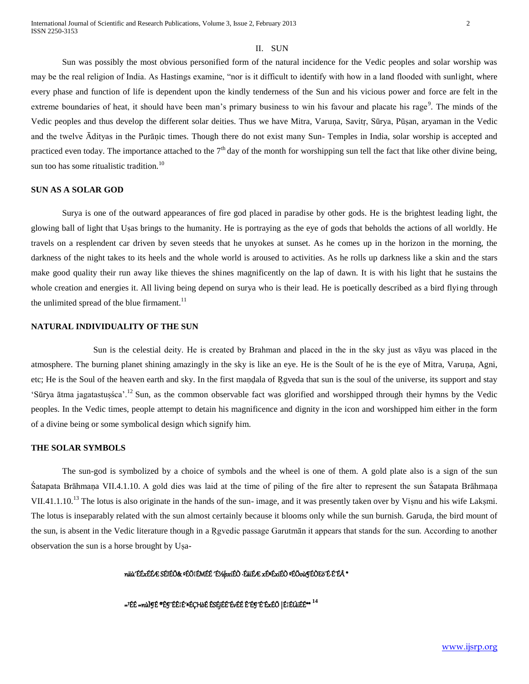# II. SUN

Sun was possibly the most obvious personified form of the natural incidence for the Vedic peoples and solar worship was may be the real religion of India. As Hastings examine, "nor is it difficult to identify with how in a land flooded with sunlight, where every phase and function of life is dependent upon the kindly tenderness of the Sun and his vicious power and force are felt in the extreme boundaries of heat, it should have been man's primary business to win his favour and placate his rage<sup>9</sup>. The minds of the Vedic peoples and thus develop the different solar deities. Thus we have Mitra, Varuna, Savitr, Sūrya, Pūṣan, aryaman in the Vedic and the twelve Ādityas in the Purāṇic times. Though there do not exist many Sun- Temples in India, solar worship is accepted and practiced even today. The importance attached to the  $7<sup>th</sup>$  day of the month for worshipping sun tell the fact that like other divine being, sun too has some ritualistic tradition.<sup>10</sup>

# **SUN AS A SOLAR GOD**

Surya is one of the outward appearances of fire god placed in paradise by other gods. He is the brightest leading light, the glowing ball of light that Uṣas brings to the humanity. He is portraying as the eye of gods that beholds the actions of all worldly. He travels on a resplendent car driven by seven steeds that he unyokes at sunset. As he comes up in the horizon in the morning, the darkness of the night takes to its heels and the whole world is aroused to activities. As he rolls up darkness like a skin and the stars make good quality their run away like thieves the shines magnificently on the lap of dawn. It is with his light that he sustains the whole creation and energies it. All living being depend on surya who is their lead. He is poetically described as a bird flying through the unlimited spread of the blue firmament.<sup>11</sup>

#### **NATURAL INDIVIDUALITY OF THE SUN**

Sun is the celestial deity. He is created by Brahman and placed in the in the sky just as vāyu was placed in the atmosphere. The burning planet shining amazingly in the sky is like an eye. He is the Soult of he is the eye of Mitra, Varuṇa, Agni, etc; He is the Soul of the heaven earth and sky. In the first maṇḍala of Ṛgveda that sun is the soul of the universe, its support and stay 'Sūrya ātma jagatastuṣśca'.<sup>12</sup> Sun, as the common observable fact was glorified and worshipped through their hymns by the Vedic peoples. In the Vedic times, people attempt to detain his magnificence and dignity in the icon and worshipped him either in the form of a divine being or some symbolical design which signify him.

## **THE SOLAR SYMBOLS**

The sun-god is symbolized by a choice of symbols and the wheel is one of them. A gold plate also is a sign of the sun Śatapata Brāhmaṇa VII.4.1.10. A gold dies was laid at the time of piling of the fire alter to represent the sun Śatapata Brāhmaṇa VII.41.1.10.<sup>13</sup> The lotus is also originate in the hands of the sun- image, and it was presently taken over by Visnu and his wife Laksmi. The lotus is inseparably related with the sun almost certainly because it blooms only while the sun burnish. Garuḍa, the bird mount of the sun, is absent in the Vedic literature though in a Rgvedic passage Garutmān it appears that stands for the sun. According to another observation the sun is a horse brought by Uṣa-

Ì.

#### näù´ÉÉxÉÉÆ SÉIÉÖ& ºÉÖ¦ÉMÉÉ <sup>^</sup>ɼþxiÉÒ ·ÉäiÉÆ xɪÉxiÉÒ ºÉÖoù¶ÉÒEò¨É·É<sup>®</sup>É<sup>4</sup>\*

=<sup>1</sup>ÉÉ =nù̶É ®Ê¶ÉʦɪÉÇHòÉ ÊSÉjÉÉ ÉvÉÉ Ê^ɶ´É ÉxÉÖ |ɦÉÚiÉÉ\*\* <sup>14</sup>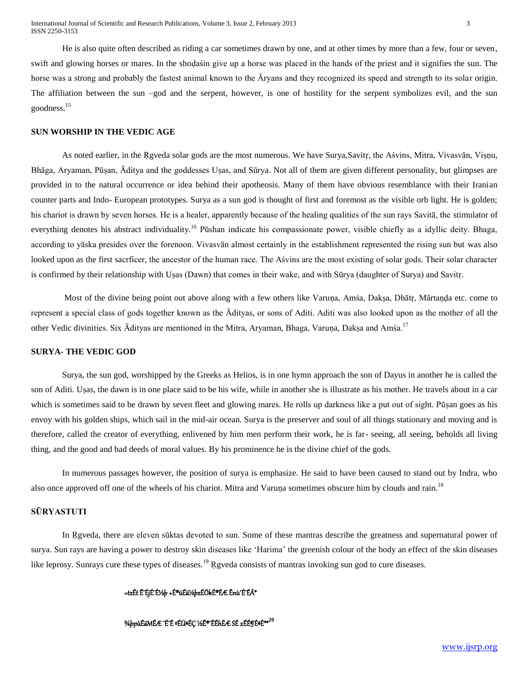He is also quite often described as riding a car sometimes drawn by one, and at other times by more than a few, four or seven, swift and glowing horses or mares. In the shoḍaśin give up a horse was placed in the hands of the priest and it signifies the sun. The horse was a strong and probably the fastest animal known to the Āryans and they recognized its speed and strength to its solar origin. The affiliation between the sun –god and the serpent, however, is one of hostility for the serpent symbolizes evil, and the sun goodness.<sup>15</sup>

#### **SUN WORSHIP IN THE VEDIC AGE**

As noted earlier, in the Rgveda solar gods are the most numerous. We have Surya, Savitr, the Aśvins, Mitra, Vivasvān, Vișnu, Bhāga, Aryaman, Pūṣan, Āditya and the goddesses Uṣas, and Sūrya. Not all of them are given different personality, but glimpses are provided in to the natural occurrence or idea behind their apotheosis. Many of them have obvious resemblance with their Iranian counter parts and Indo- European prototypes. Surya as a sun god is thought of first and foremost as the visible orb light. He is golden; his chariot is drawn by seven horses. He is a healer, apparently because of the healing qualities of the sun rays Savitā, the stimulator of everything denotes his abstract individuality.<sup>16</sup> Pūshan indicate his compassionate power, visible chiefly as a idyllic deity. Bhaga, according to yāska presides over the forenoon. Vivasvān almost certainly in the establishment represented the rising sun but was also looked upon as the first sacrficer, the ancestor of the human race. The Aśvins are the most existing of solar gods. Their solar character is confirmed by their relationship with Uṣas (Dawn) that comes in their wake, and with Sūrya (daughter of Surya) and Savitṛ.

Most of the divine being point out above along with a few others like Varuṇa, Amśa, Dakṣa, Dhātṛ, Mārtaṇḍa etc. come to represent a special class of gods together known as the Ādityas, or sons of Aditi. Aditi was also looked upon as the mother of all the other Vedic divinities. Six Ādityas are mentioned in the Mitra, Aryaman, Bhaga, Varuṇa, Dakṣa and Amśa.<sup>17</sup>

# **SURYA- THE VEDIC GOD**

Surya, the sun god, worshipped by the Greeks as Helios, is in one hymn approach the son of Dayus in another he is called the son of Aditi. Uṣas, the dawn is in one place said to be his wife, while in another she is illustrate as his mother. He travels about in a car which is sometimes said to be drawn by seven fleet and glowing mares. He rolls up darkness like a put out of sight. Pūṣan goes as his envoy with his golden ships, which sail in the mid-air ocean. Surya is the preserver and soul of all things stationary and moving and is therefore, called the creator of everything, enlivened by him men perform their work, he is far- seeing, all seeing, beholds all living thing, and the good and bad deeds of moral values. By his prominence he is the divine chief of the gods.

In numerous passages however, the position of surya is emphasize. He said to have been caused to stand out by Indra, who also once approved off one of the wheels of his chariot. Mitra and Varuṇa sometimes obscure him by clouds and rain.<sup>18</sup>

# **SŪRYASTUTI**

In Rgveda, there are eleven sūktas devoted to sun. Some of these mantras describe the greatness and supernatural power of surya. Sun rays are having a power to destroy skin diseases like 'Harima' the greenish colour of the body an effect of the skin diseases like leprosy. Sunrays cure these types of diseases.<sup>19</sup> Rgveda consists of mantras invoking sun god to cure diseases.

#### =tzÉt ʰÉjɰɼþ +É®úÉä½þzÉÖkɮɯ Ênù′ɰÉÂ\*

¾þpùÉäMÉÆ ¨É¨É ºÉÚªÉÇ ½Ê®¨ÉÉhÉÆ SÉ xÉɶɪÉ\*\***<sup>20</sup>**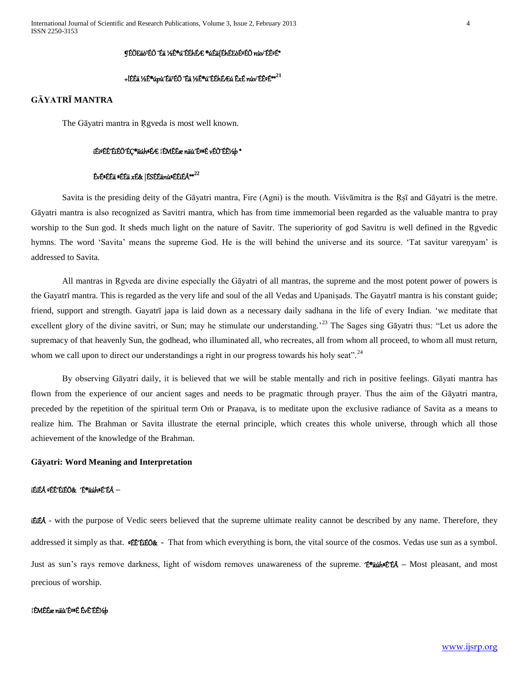#### **¶ÉÖEäò™ÉÖ ¨Éä 1⁄2Ê®ú¨ÉÉhÉÆ ®úÉä{ÉhÉEòɺÉÖ nùv¨ÉʺÉ\***

# +lÉÉä ½Ê®úpù´Éä¹ÉÖ ¨Éä ½Ê®ú¨ÉÉhÉÆú ÊxÉ nùv¨ÉʺÉ\*\***<sup>21</sup>**

# **GĀYATRĪ MANTRA**

The Gāyatri mantra in Ŗgveda is most well known.

#### iÉiºÉÊ´ÉiÉÖ´ÉÇ®äúhªÉÆ ¦ÉMÉÉæ näù´ÉºªÉ vÉÒ¨Éʽþ \*

## ÊvɪÉÉä ªÉÉä xÉ& |ÉSÉÉänùªÉÉiÉÂ\*\***<sup>22</sup>**

Savita is the presiding deity of the Gāyatri mantra, Fire (Agni) is the mouth. Viśvāmitra is the Ṛṣī and Gāyatri is the metre. Gāyatri mantra is also recognized as Savitri mantra, which has from time immemorial been regarded as the valuable mantra to pray worship to the Sun god. It sheds much light on the nature of Savitr. The superiority of god Savitru is well defined in the Rgvedic hymns. The word 'Savita' means the supreme God. He is the will behind the universe and its source. 'Tat savitur vareṇyam' is addressed to Savita.

All mantras in Rgveda are divine especially the Gāyatri of all mantras, the supreme and the most potent power of powers is the Gayatrī mantra. This is regarded as the very life and soul of the all Vedas and Upaniṣads. The Gayatrī mantra is his constant guide; friend, support and strength. Gayatrī japa is laid down as a necessary daily sadhana in the life of every Indian. 'we meditate that excellent glory of the divine savitri, or Sun; may he stimulate our understanding.<sup>23</sup> The Sages sing Gāyatri thus: "Let us adore the supremacy of that heavenly Sun, the godhead, who illuminated all, who recreates, all from whom all proceed, to whom all must return, whom we call upon to direct our understandings a right in our progress towards his holy seat".<sup>24</sup>

By observing Gāyatri daily, it is believed that we will be stable mentally and rich in positive feelings. Gāyati mantra has flown from the experience of our ancient sages and needs to be pragmatic through prayer. Thus the aim of the Gāyatri mantra, preceded by the repetition of the spiritual term Oṁ or Praṇava, is to meditate upon the exclusive radiance of Savita as a means to realize him. The Brahman or Savita illustrate the eternal principle, which creates this whole universe, through which all those achievement of the knowledge of the Brahman.

#### **Gāyatri: Word Meaning and Interpretation**

# iÉiÉ ºÉÊ´ÉiÉÖ& ´É®äúhªÉ¨ÉÂ **–**

iÉiÉÂ - with the purpose of Vedic seers believed that the supreme ultimate reality cannot be described by any name. Therefore, they addressed it simply as that. ºÉÊ´ÉiÉÖ& **-** That from which everything is born, the vital source of the cosmos. Vedas use sun as a symbol. Just as sun's rays remove darkness, light of wisdom removes unawareness of the supreme. <sup>\*</sup>É®äúh<sup>e</sup>ÉÉ – Most pleasant, and most precious of worship.

#### ¦ÉMÉÉænäù′É<del>≌É</del> ÊvÉ Éʽb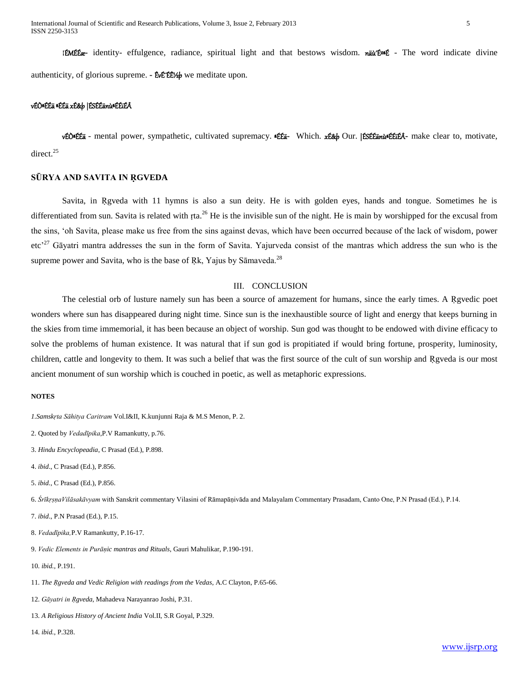International Journal of Scientific and Research Publications, Volume 3, Issue 2, February 2013 5 ISSN 2250-3153

¦ÉMÉÉæ**-** identity- effulgence, radiance, spiritual light and that bestows wisdom. näù´ÉºªÉ - The word indicate divine authenticity, of glorious supreme. **-** EvE EE by we meditate upon.

# vÉÒªÉÉä ªÉÉä xÉ&þ |ÉSÉÉänùªÉÉiÉÂ

vÉÒªÉÉä - mental power, sympathetic, cultivated supremacy. ªÉÉä**-** Which. xÉ&þ Our. |ÉSÉÉänùªÉÉiÉÂ**-** make clear to, motivate, direct. 25

#### **SŪRYA AND SAVITA IN ṚGVEDA**

Savita, in Rgveda with 11 hymns is also a sun deity. He is with golden eyes, hands and tongue. Sometimes he is differentiated from sun. Savita is related with rta.<sup>26</sup> He is the invisible sun of the night. He is main by worshipped for the excusal from the sins, 'oh Savita, please make us free from the sins against devas, which have been occurred because of the lack of wisdom, power etc<sup>27</sup> Gāyatri mantra addresses the sun in the form of Savita. Yajurveda consist of the mantras which address the sun who is the supreme power and Savita, who is the base of Rk, Yajus by S $\overline{\text{a}}$ maveda.<sup>28</sup>

# III. CONCLUSION

The celestial orb of lusture namely sun has been a source of amazement for humans, since the early times. A Rgvedic poet wonders where sun has disappeared during night time. Since sun is the inexhaustible source of light and energy that keeps burning in the skies from time immemorial, it has been because an object of worship. Sun god was thought to be endowed with divine efficacy to solve the problems of human existence. It was natural that if sun god is propitiated if would bring fortune, prosperity, luminosity, children, cattle and longevity to them. It was such a belief that was the first source of the cult of sun worship and Rgveda is our most ancient monument of sun worship which is couched in poetic, as well as metaphoric expressions.

#### **NOTES**

*1.Samskṛta Sāhitya Caritram* Vol.I&II, K.kunjunni Raja & M.S Menon, P. 2.

2. Quoted by *Vedadīpika*,P.V Ramankutty, p.76.

3. *Hindu Encyclopeadia*, C Prasad (Ed.), P.898.

4. *ibid*., C Prasad (Ed.), P.856.

5. *ibid.*, C Prasad (Ed.), P.856.

6. *ŚrīkṛṣṇaVilāsakāvyam* with Sanskrit commentary Vilasini of Rāmapāṇivāda and Malayalam Commentary Prasadam, Canto One, P.N Prasad (Ed.), P.14.

7. *ibid*., P.N Prasad (Ed.), P.15.

8. *Vedadīpika,*P.V Ramankutty, P.16-17.

9. *Vedic Elements in Purāṇic mantras and Rituals*, Gauri Mahulikar, P.190-191.

10. *ibid.,* P.191.

11. *The Ṛgveda and Vedic Religion with readings from the Vedas*, A.C Clayton, P.65-66.

12. *Gāyatri in Ṛgveda*, Mahadeva Narayanrao Joshi, P.31.

13. *A Religious History of Ancient India* Vol.II, S.R Goyal, P.329.

14. *ibid.*, P.328.